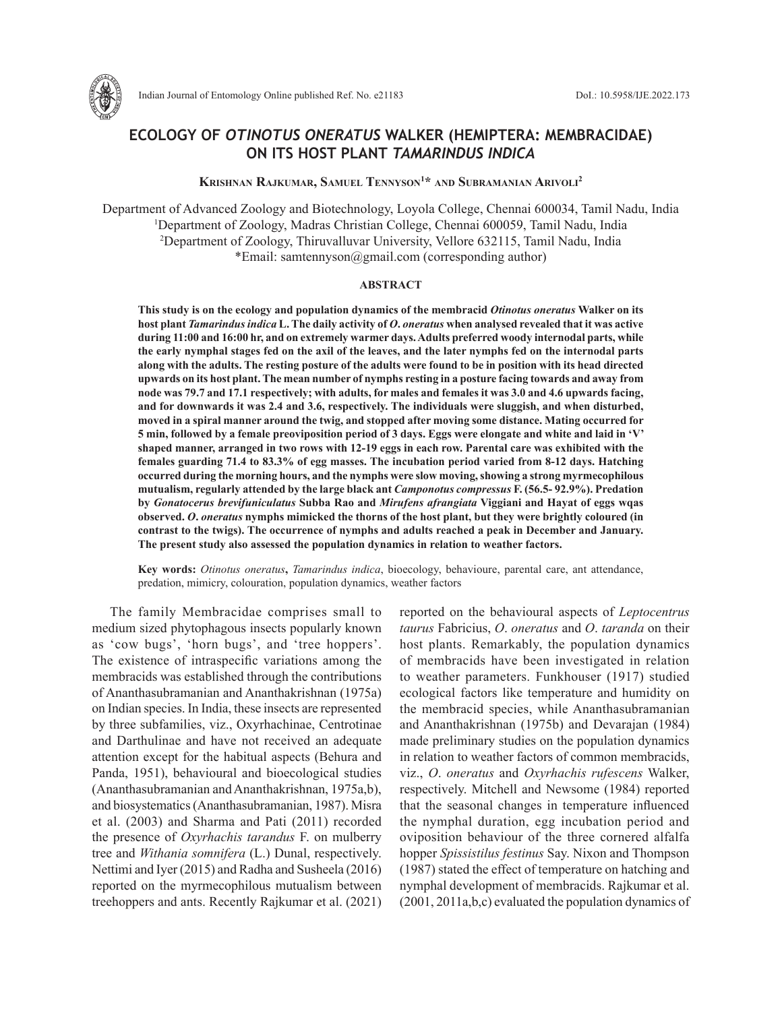

Indian Journal of Entomology Online published Ref. No. e21183 DoI.: 10.5958/IJE.2022.173

# **ECOLOGY OF** *OTINOTUS ONERATUS* **WALKER (HEMIPTERA: MEMBRACIDAE) ON ITS HOST PLANT** *TAMARINDUS INDICA*

# **Krishnan Rajkumar, Samuel Tennyson1 \* and Subramanian Arivoli2**

Department of Advanced Zoology and Biotechnology, Loyola College, Chennai 600034, Tamil Nadu, India 1 Department of Zoology, Madras Christian College, Chennai 600059, Tamil Nadu, India 2 Department of Zoology, Thiruvalluvar University, Vellore 632115, Tamil Nadu, India \*Email: samtennyson@gmail.com (corresponding author)

## **ABSTRACT**

**This study is on the ecology and population dynamics of the membracid** *Otinotus oneratus* **Walker on its host plant** *Tamarindus indica* **L. The daily activity of** *O***.** *oneratus* **when analysed revealed that it was active during 11:00 and 16:00 hr, and on extremely warmer days. Adults preferred woody internodal parts, while the early nymphal stages fed on the axil of the leaves, and the later nymphs fed on the internodal parts along with the adults. The resting posture of the adults were found to be in position with its head directed upwards on its host plant. The mean number of nymphs resting in a posture facing towards and away from node was 79.7 and 17.1 respectively; with adults, for males and females it was 3.0 and 4.6 upwards facing, and for downwards it was 2.4 and 3.6, respectively. The individuals were sluggish, and when disturbed, moved in a spiral manner around the twig, and stopped after moving some distance. Mating occurred for 5 min, followed by a female preoviposition period of 3 days. Eggs were elongate and white and laid in 'V' shaped manner, arranged in two rows with 12-19 eggs in each row. Parental care was exhibited with the females guarding 71.4 to 83.3% of egg masses. The incubation period varied from 8-12 days. Hatching occurred during the morning hours, and the nymphs were slow moving, showing a strong myrmecophilous mutualism, regularly attended by the large black ant** *Camponotus compressus* **F. (56.5- 92.9%). Predation by** *Gonatocerus brevifuniculatus* **Subba Rao and** *Mirufens afrangiata* **Viggiani and Hayat of eggs wqas observed.** *O***.** *oneratus* **nymphs mimicked the thorns of the host plant, but they were brightly coloured (in contrast to the twigs). The occurrence of nymphs and adults reached a peak in December and January. The present study also assessed the population dynamics in relation to weather factors.**

**Key words:** *Otinotus oneratus***,** *Tamarindus indica*, bioecology, behavioure, parental care, ant attendance, predation, mimicry, colouration, population dynamics, weather factors

The family Membracidae comprises small to medium sized phytophagous insects popularly known as 'cow bugs', 'horn bugs', and 'tree hoppers'. The existence of intraspecific variations among the membracids was established through the contributions of Ananthasubramanian and Ananthakrishnan (1975a) on Indian species. In India, these insects are represented by three subfamilies, viz., Oxyrhachinae, Centrotinae and Darthulinae and have not received an adequate attention except for the habitual aspects (Behura and Panda, 1951), behavioural and bioecological studies (Ananthasubramanian and Ananthakrishnan, 1975a,b), and biosystematics (Ananthasubramanian, 1987). Misra et al. (2003) and Sharma and Pati (2011) recorded the presence of *Oxyrhachis tarandus* F. on mulberry tree and *Withania somnifera* (L.) Dunal, respectively. Nettimi and Iyer (2015) and Radha and Susheela (2016) reported on the myrmecophilous mutualism between treehoppers and ants. Recently Rajkumar et al. (2021) reported on the behavioural aspects of *Leptocentrus taurus* Fabricius, *O*. *oneratus* and *O*. *taranda* on their host plants. Remarkably, the population dynamics of membracids have been investigated in relation to weather parameters. Funkhouser (1917) studied ecological factors like temperature and humidity on the membracid species, while Ananthasubramanian and Ananthakrishnan (1975b) and Devarajan (1984) made preliminary studies on the population dynamics in relation to weather factors of common membracids, viz., *O*. *oneratus* and *Oxyrhachis rufescens* Walker, respectively. Mitchell and Newsome (1984) reported that the seasonal changes in temperature influenced the nymphal duration, egg incubation period and oviposition behaviour of the three cornered alfalfa hopper *Spissistilus festinus* Say. Nixon and Thompson (1987) stated the effect of temperature on hatching and nymphal development of membracids. Rajkumar et al. (2001, 2011a,b,c) evaluated the population dynamics of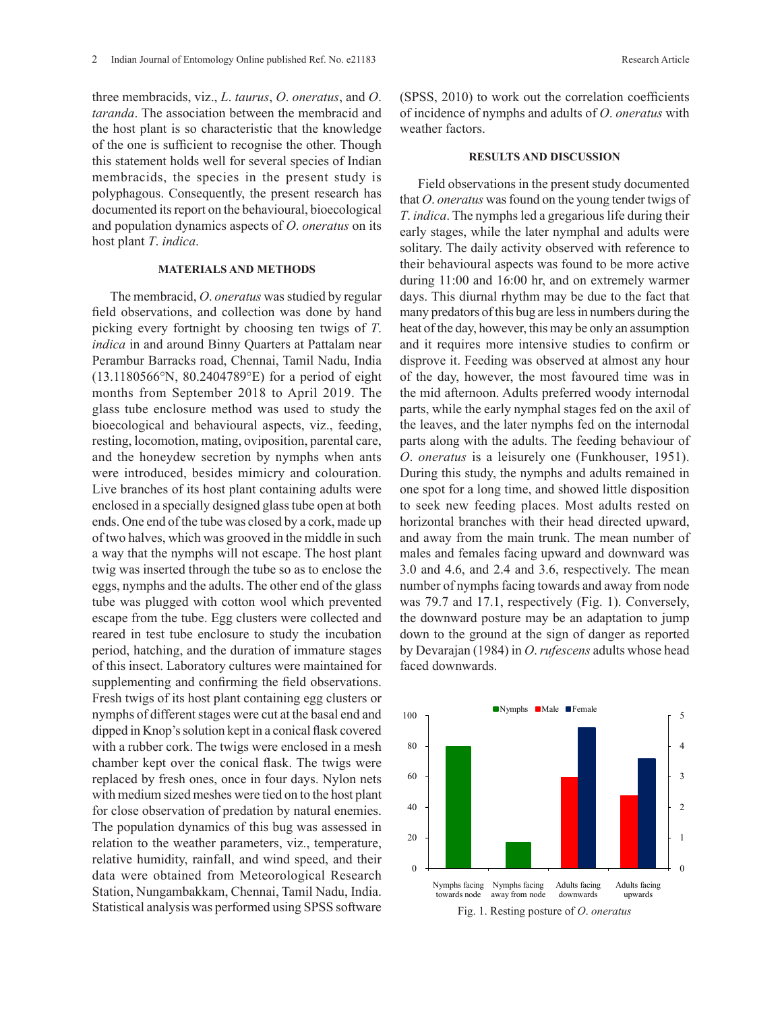three membracids, viz., *L*. *taurus*, *O*. *oneratus*, and *O*. *taranda*. The association between the membracid and the host plant is so characteristic that the knowledge of the one is sufficient to recognise the other. Though this statement holds well for several species of Indian membracids, the species in the present study is polyphagous. Consequently, the present research has documented its report on the behavioural, bioecological and population dynamics aspects of *O*. *oneratus* on its host plant *T*. *indica*.

### **MATERIALS AND METHODS**

The membracid, *O*. *oneratus* was studied by regular field observations, and collection was done by hand picking every fortnight by choosing ten twigs of *T*. *indica* in and around Binny Quarters at Pattalam near Perambur Barracks road, Chennai, Tamil Nadu, India (13.1180566°N, 80.2404789°E) for a period of eight months from September 2018 to April 2019. The glass tube enclosure method was used to study the bioecological and behavioural aspects, viz., feeding, resting, locomotion, mating, oviposition, parental care, and the honeydew secretion by nymphs when ants were introduced, besides mimicry and colouration. Live branches of its host plant containing adults were enclosed in a specially designed glass tube open at both ends. One end of the tube was closed by a cork, made up of two halves, which was grooved in the middle in such a way that the nymphs will not escape. The host plant twig was inserted through the tube so as to enclose the eggs, nymphs and the adults. The other end of the glass tube was plugged with cotton wool which prevented escape from the tube. Egg clusters were collected and reared in test tube enclosure to study the incubation period, hatching, and the duration of immature stages of this insect. Laboratory cultures were maintained for supplementing and confirming the field observations. Fresh twigs of its host plant containing egg clusters or nymphs of different stages were cut at the basal end and dipped in Knop's solution kept in a conical flask covered with a rubber cork. The twigs were enclosed in a mesh chamber kept over the conical flask. The twigs were replaced by fresh ones, once in four days. Nylon nets with medium sized meshes were tied on to the host plant for close observation of predation by natural enemies. The population dynamics of this bug was assessed in relation to the weather parameters, viz., temperature, relative humidity, rainfall, and wind speed, and their data were obtained from Meteorological Research Station, Nungambakkam, Chennai, Tamil Nadu, India. Statistical analysis was performed using SPSS software

(SPSS, 2010) to work out the correlation coefficients of incidence of nymphs and adults of *O*. *oneratus* with weather factors.

### **RESULTS AND DISCUSSION**

Field observations in the present study documented that *O*. *oneratus* was found on the young tender twigs of *T*. *indica*. The nymphs led a gregarious life during their early stages, while the later nymphal and adults were solitary. The daily activity observed with reference to their behavioural aspects was found to be more active during 11:00 and 16:00 hr, and on extremely warmer days. This diurnal rhythm may be due to the fact that many predators of this bug are less in numbers during the heat of the day, however, this may be only an assumption and it requires more intensive studies to confirm or disprove it. Feeding was observed at almost any hour of the day, however, the most favoured time was in the mid afternoon. Adults preferred woody internodal parts, while the early nymphal stages fed on the axil of the leaves, and the later nymphs fed on the internodal parts along with the adults. The feeding behaviour of *O*. *oneratus* is a leisurely one (Funkhouser, 1951). During this study, the nymphs and adults remained in one spot for a long time, and showed little disposition to seek new feeding places. Most adults rested on horizontal branches with their head directed upward, and away from the main trunk. The mean number of males and females facing upward and downward was 3.0 and 4.6, and 2.4 and 3.6, respectively. The mean number of nymphs facing towards and away from node was 79.7 and 17.1, respectively (Fig. 1). Conversely, the downward posture may be an adaptation to jump down to the ground at the sign of danger as reported by Devarajan (1984) in *O*. *rufescens* adults whose head faced downwards.

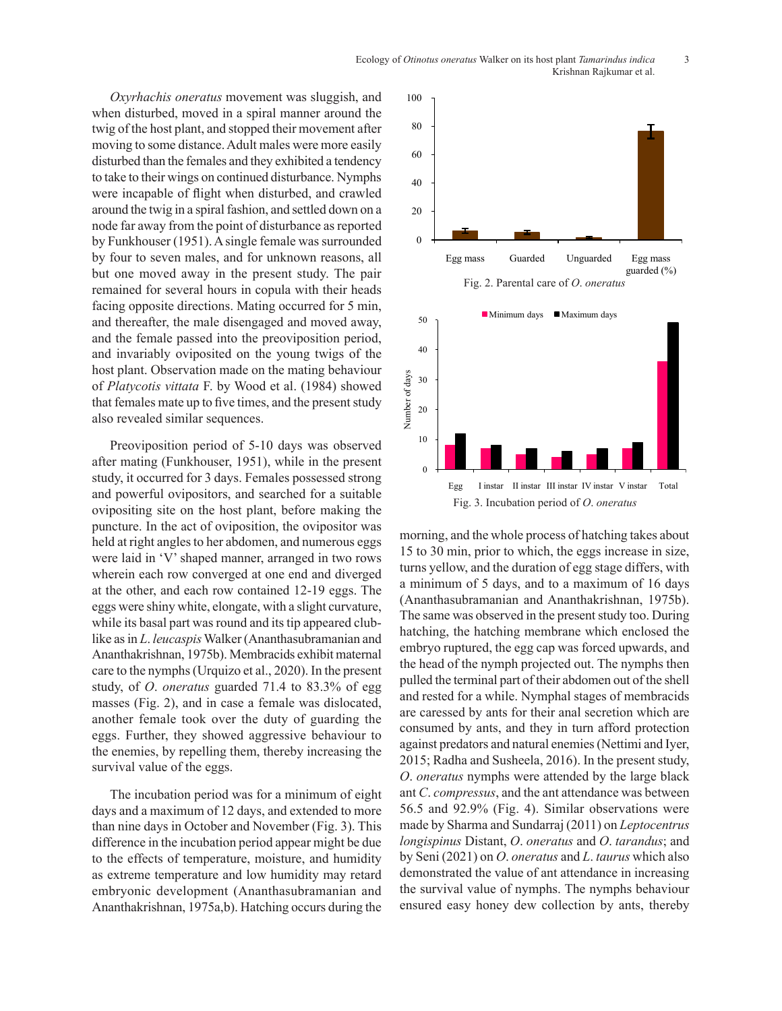*Oxyrhachis oneratus* movement was sluggish, and when disturbed, moved in a spiral manner around the twig of the host plant, and stopped their movement after moving to some distance. Adult males were more easily disturbed than the females and they exhibited a tendency to take to their wings on continued disturbance. Nymphs were incapable of flight when disturbed, and crawled around the twig in a spiral fashion, and settled down on a node far away from the point of disturbance as reported by Funkhouser (1951). A single female was surrounded by four to seven males, and for unknown reasons, all but one moved away in the present study. The pair remained for several hours in copula with their heads facing opposite directions. Mating occurred for 5 min, and thereafter, the male disengaged and moved away, and the female passed into the preoviposition period, and invariably oviposited on the young twigs of the host plant. Observation made on the mating behaviour of *Platycotis vittata* F. by Wood et al. (1984) showed that females mate up to five times, and the present study also revealed similar sequences.

Preoviposition period of 5-10 days was observed after mating (Funkhouser, 1951), while in the present study, it occurred for 3 days. Females possessed strong and powerful ovipositors, and searched for a suitable ovipositing site on the host plant, before making the puncture. In the act of oviposition, the ovipositor was held at right angles to her abdomen, and numerous eggs were laid in 'V' shaped manner, arranged in two rows wherein each row converged at one end and diverged at the other, and each row contained 12-19 eggs. The eggs were shiny white, elongate, with a slight curvature, while its basal part was round and its tip appeared clublike as in *L*. *leucaspis* Walker (Ananthasubramanian and Ananthakrishnan, 1975b). Membracids exhibit maternal care to the nymphs (Urquizo et al., 2020). In the present study, of *O*. *oneratus* guarded 71.4 to 83.3% of egg masses (Fig. 2), and in case a female was dislocated, another female took over the duty of guarding the eggs. Further, they showed aggressive behaviour to the enemies, by repelling them, thereby increasing the survival value of the eggs.

The incubation period was for a minimum of eight days and a maximum of 12 days, and extended to more than nine days in October and November (Fig. 3). This difference in the incubation period appear might be due to the effects of temperature, moisture, and humidity as extreme temperature and low humidity may retard embryonic development (Ananthasubramanian and Ananthakrishnan, 1975a,b). Hatching occurs during the



morning, and the whole process of hatching takes about 15 to 30 min, prior to which, the eggs increase in size, turns yellow, and the duration of egg stage differs, with a minimum of 5 days, and to a maximum of 16 days (Ananthasubramanian and Ananthakrishnan, 1975b). The same was observed in the present study too. During hatching, the hatching membrane which enclosed the embryo ruptured, the egg cap was forced upwards, and the head of the nymph projected out. The nymphs then pulled the terminal part of their abdomen out of the shell and rested for a while. Nymphal stages of membracids are caressed by ants for their anal secretion which are consumed by ants, and they in turn afford protection against predators and natural enemies (Nettimi and Iyer, 2015; Radha and Susheela, 2016). In the present study, *O*. *oneratus* nymphs were attended by the large black ant *C*. *compressus*, and the ant attendance was between 56.5 and 92.9% (Fig. 4). Similar observations were made by Sharma and Sundarraj (2011) on *Leptocentrus longispinus* Distant, *O*. *oneratus* and *O*. *tarandus*; and by Seni (2021) on *O*. *oneratus* and *L*. *taurus* which also demonstrated the value of ant attendance in increasing the survival value of nymphs. The nymphs behaviour ensured easy honey dew collection by ants, thereby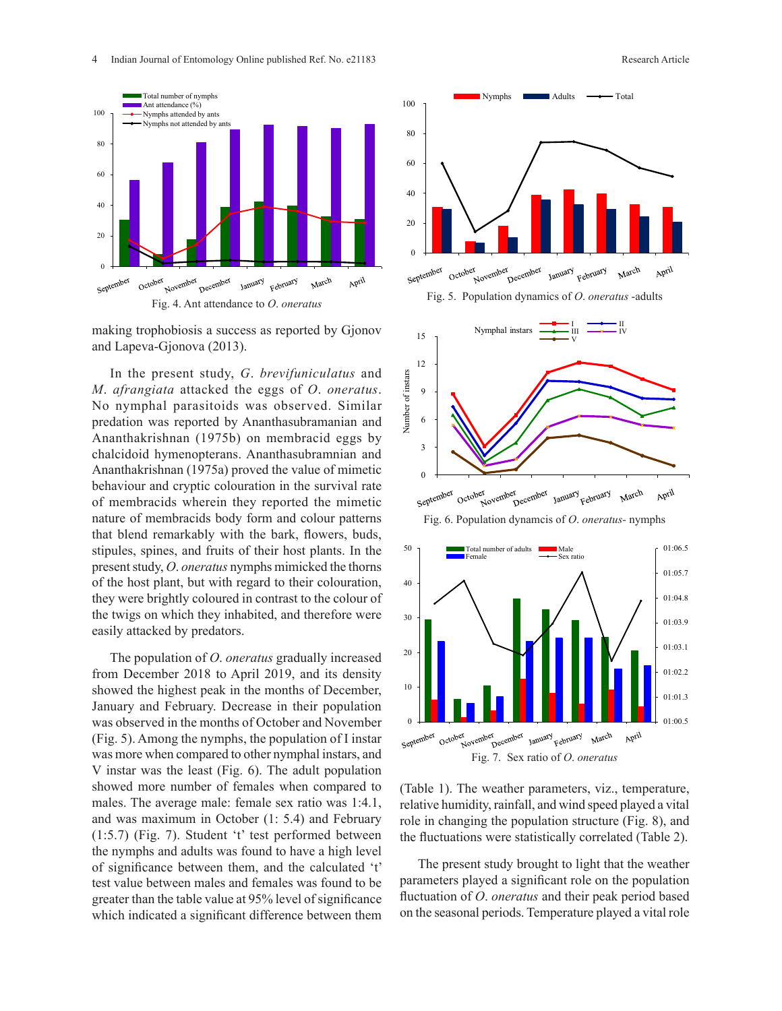

making trophobiosis a success as reported by Gjonov and Lapeva-Gjonova (2013).

In the present study, *G*. *brevifuniculatus* and *M*. *afrangiata* attacked the eggs of *O*. *oneratus*. No nymphal parasitoids was observed. Similar predation was reported by Ananthasubramanian and Ananthakrishnan (1975b) on membracid eggs by chalcidoid hymenopterans. Ananthasubramnian and Ananthakrishnan (1975a) proved the value of mimetic behaviour and cryptic colouration in the survival rate of membracids wherein they reported the mimetic nature of membracids body form and colour patterns that blend remarkably with the bark, flowers, buds, stipules, spines, and fruits of their host plants. In the present study, *O*. *oneratus* nymphs mimicked the thorns of the host plant, but with regard to their colouration, they were brightly coloured in contrast to the colour of the twigs on which they inhabited, and therefore were easily attacked by predators.

The population of *O*. *oneratus* gradually increased from December 2018 to April 2019, and its density showed the highest peak in the months of December, January and February. Decrease in their population was observed in the months of October and November (Fig. 5). Among the nymphs, the population of I instar was more when compared to other nymphal instars, and V instar was the least (Fig. 6). The adult population showed more number of females when compared to males. The average male: female sex ratio was 1:4.1, and was maximum in October (1: 5.4) and February (1:5.7) (Fig. 7). Student 't' test performed between the nymphs and adults was found to have a high level of significance between them, and the calculated 't' test value between males and females was found to be greater than the table value at 95% level of significance which indicated a significant difference between them









(Table 1). The weather parameters, viz., temperature, relative humidity, rainfall, and wind speed played a vital role in changing the population structure (Fig. 8), and the fluctuations were statistically correlated (Table 2).

The present study brought to light that the weather parameters played a significant role on the population fluctuation of *O*. *oneratus* and their peak period based on the seasonal periods. Temperature played a vital role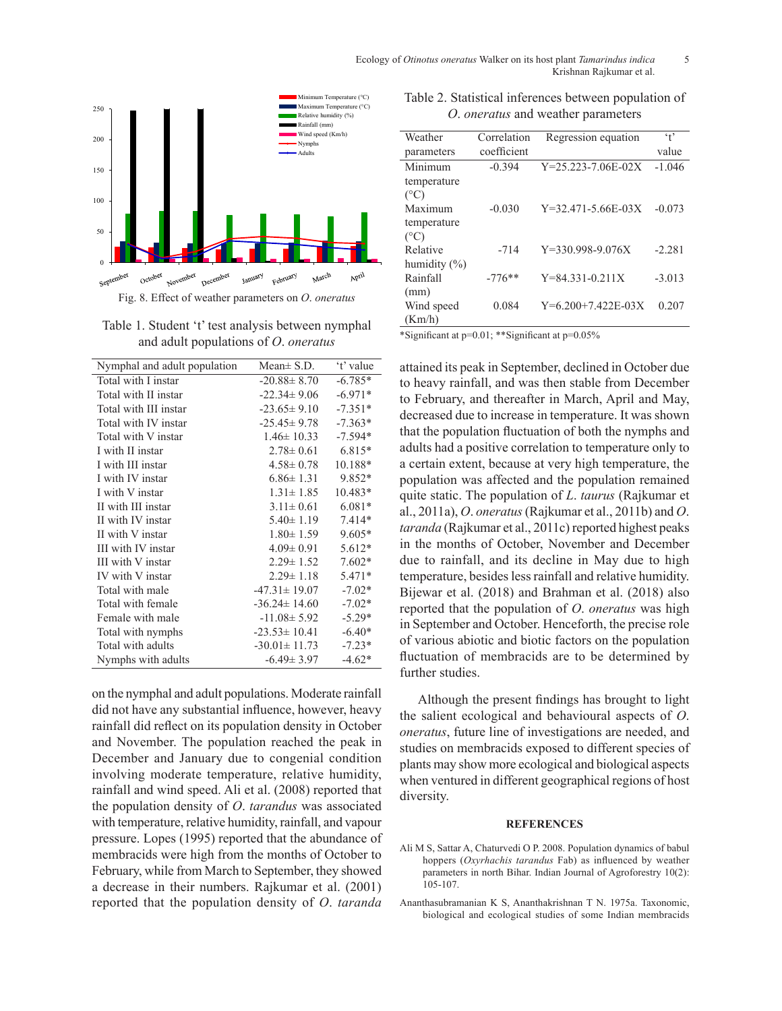

Table 1. Student 't' test analysis between nymphal and adult populations of *O*. *oneratus*

| Nymphal and adult population | Mean $\pm$ S.D.    | 't' value |
|------------------------------|--------------------|-----------|
| Total with I instar          | $-20.88 \pm 8.70$  | $-6.785*$ |
| Total with II instar         | $-22.34 \pm 9.06$  | $-6.971*$ |
| Total with III instar        | $-23.65 \pm 9.10$  | $-7.351*$ |
| Total with IV instar         | $-25.45 \pm 9.78$  | $-7.363*$ |
| Total with V instar          | $1.46 \pm 10.33$   | $-7.594*$ |
| I with II instar             | $2.78 \pm 0.61$    | 6.815*    |
| I with III instar            | $4.58 \pm 0.78$    | 10.188*   |
| I with IV instar             | $6.86 \pm 1.31$    | 9.852*    |
| I with V instar              | $1.31 \pm 1.85$    | 10.483*   |
| II with III instar           | $3.11 \pm 0.61$    | $6.081*$  |
| II with IV instar            | $5.40 \pm 1.19$    | $7.414*$  |
| II with V instar             | $1.80 \pm 1.59$    | $9.605*$  |
| III with IV instar           | $4.09 \pm 0.91$    | 5.612*    |
| III with V instar            | $2.29 \pm 1.52$    | $7.602*$  |
| IV with V instar             | $2.29 \pm 1.18$    | 5.471*    |
| Total with male              | $-47.31 \pm 19.07$ | $-7.02*$  |
| Total with female            | $-36.24 \pm 14.60$ | $-7.02*$  |
| Female with male             | $-11.08 \pm 5.92$  | $-5.29*$  |
| Total with nymphs            | $-23.53 \pm 10.41$ | $-6.40*$  |
| Total with adults            | $-30.01 \pm 11.73$ | $-7.23*$  |
| Nymphs with adults           | $-6.49 \pm 3.97$   | $-4.62*$  |

on the nymphal and adult populations. Moderate rainfall did not have any substantial influence, however, heavy rainfall did reflect on its population density in October and November. The population reached the peak in December and January due to congenial condition involving moderate temperature, relative humidity, rainfall and wind speed. Ali et al. (2008) reported that the population density of *O*. *tarandus* was associated with temperature, relative humidity, rainfall, and vapour pressure. Lopes (1995) reported that the abundance of membracids were high from the months of October to February, while from March to September, they showed a decrease in their numbers. Rajkumar et al. (2001) reported that the population density of *O*. *taranda*

Table 2. Statistical inferences between population of *O*. *oneratus* and weather parameters

| Weather          | Correlation | Regression equation        | $\cdot$ + |
|------------------|-------------|----------------------------|-----------|
| parameters       | coefficient |                            | value     |
| Minimum          | $-0.394$    | $Y = 25.223 - 7.06E - 02X$ | $-1.046$  |
| temperature      |             |                            |           |
| $(^{\circ}C)$    |             |                            |           |
| Maximum          | $-0.030$    | $Y=32.471-5.66E-03X$       | $-0.073$  |
| temperature      |             |                            |           |
| $(^{\circ}C)$    |             |                            |           |
| Relative         | $-714$      | $Y=330.998-9.076X$         | $-2.281$  |
| humidity $(\% )$ |             |                            |           |
| Rainfall         | $-776**$    | $Y = 84.331 - 0.211X$      | $-3.013$  |
| (mm)             |             |                            |           |
| Wind speed       | 0.084       | $Y=6.200+7.422E-03X$       | 0.207     |
| (Km/h)           |             |                            |           |

\*Significant at p=0.01; \*\*Significant at p=0.05%

attained its peak in September, declined in October due to heavy rainfall, and was then stable from December to February, and thereafter in March, April and May, decreased due to increase in temperature. It was shown that the population fluctuation of both the nymphs and adults had a positive correlation to temperature only to a certain extent, because at very high temperature, the population was affected and the population remained quite static. The population of *L*. *taurus* (Rajkumar et al., 2011a), *O*. *oneratus* (Rajkumar et al., 2011b) and *O*. *taranda* (Rajkumar et al., 2011c) reported highest peaks in the months of October, November and December due to rainfall, and its decline in May due to high temperature, besides less rainfall and relative humidity. Bijewar et al. (2018) and Brahman et al. (2018) also reported that the population of *O*. *oneratus* was high in September and October. Henceforth, the precise role of various abiotic and biotic factors on the population fluctuation of membracids are to be determined by further studies.

Although the present findings has brought to light the salient ecological and behavioural aspects of *O*. *oneratus*, future line of investigations are needed, and studies on membracids exposed to different species of plants may show more ecological and biological aspects when ventured in different geographical regions of host diversity.

#### **REFERENCES**

- Ali M S, Sattar A, Chaturvedi O P. 2008. Population dynamics of babul hoppers (*Oxyrhachis tarandus* Fab) as influenced by weather parameters in north Bihar. Indian Journal of Agroforestry 10(2): 105-107.
- Ananthasubramanian K S, Ananthakrishnan T N. 1975a. Taxonomic, biological and ecological studies of some Indian membracids